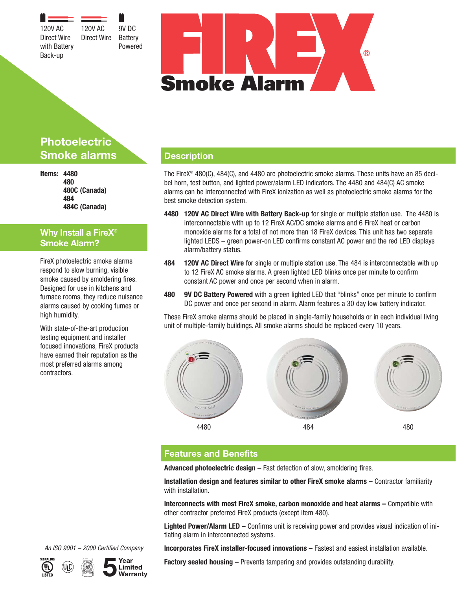120V AC Direct Wire with Battery Back-up 120V AC Direct Wire

9V DC **Battery** Powered



# **Photoelectric Smoke alarms**

**Items: 4480 480 480C (Canada) 484 484C (Canada)**

## **Why Install a FireX® Smoke Alarm?**

FireX photoelectric smoke alarms respond to slow burning, visible smoke caused by smoldering fires. Designed for use in kitchens and furnace rooms, they reduce nuisance alarms caused by cooking fumes or high humidity.

With state-of-the-art production testing equipment and installer focused innovations, FireX products have earned their reputation as the most preferred alarms among contractors.

# **Description**

The FireX® 480(C), 484(C), and 4480 are photoelectric smoke alarms. These units have an 85 decibel horn, test button, and lighted power/alarm LED indicators. The 4480 and 484(C) AC smoke alarms can be interconnected with FireX ionization as well as photoelectric smoke alarms for the best smoke detection system.

- **4480 120V AC Direct Wire with Battery Back-up** for single or multiple station use. The 4480 is interconnectable with up to 12 FireX AC/DC smoke alarms and 6 FireX heat or carbon monoxide alarms for a total of not more than 18 FireX devices. This unit has two separate lighted LEDS – green power-on LED confirms constant AC power and the red LED displays alarm/battery status.
- **484 120V AC Direct Wire** for single or multiple station use. The 484 is interconnectable with up to 12 FireX AC smoke alarms. A green lighted LED blinks once per minute to confirm constant AC power and once per second when in alarm.
- **480 9V DC Battery Powered** with a green lighted LED that "blinks" once per minute to confirm DC power and once per second in alarm. Alarm features a 30 day low battery indicator.

These FireX smoke alarms should be placed in single-family households or in each individual living unit of multiple-family buildings. All smoke alarms should be replaced every 10 years.



## **Features and Benefits**

**Advanced photoelectric design –** Fast detection of slow, smoldering fires.

**Installation design and features similar to other FireX smoke alarms –** Contractor familiarity with installation.

**Interconnects with most FireX smoke, carbon monoxide and heat alarms –** Compatible with other contractor preferred FireX products (except item 480).

**Lighted Power/Alarm LED –** Confirms unit is receiving power and provides visual indication of initiating alarm in interconnected systems.

**Incorporates FireX installer-focused innovations –** Fastest and easiest installation available.

An ISO 9001 – 2000 Certified Company



**Factory sealed housing –** Prevents tampering and provides outstanding durability.